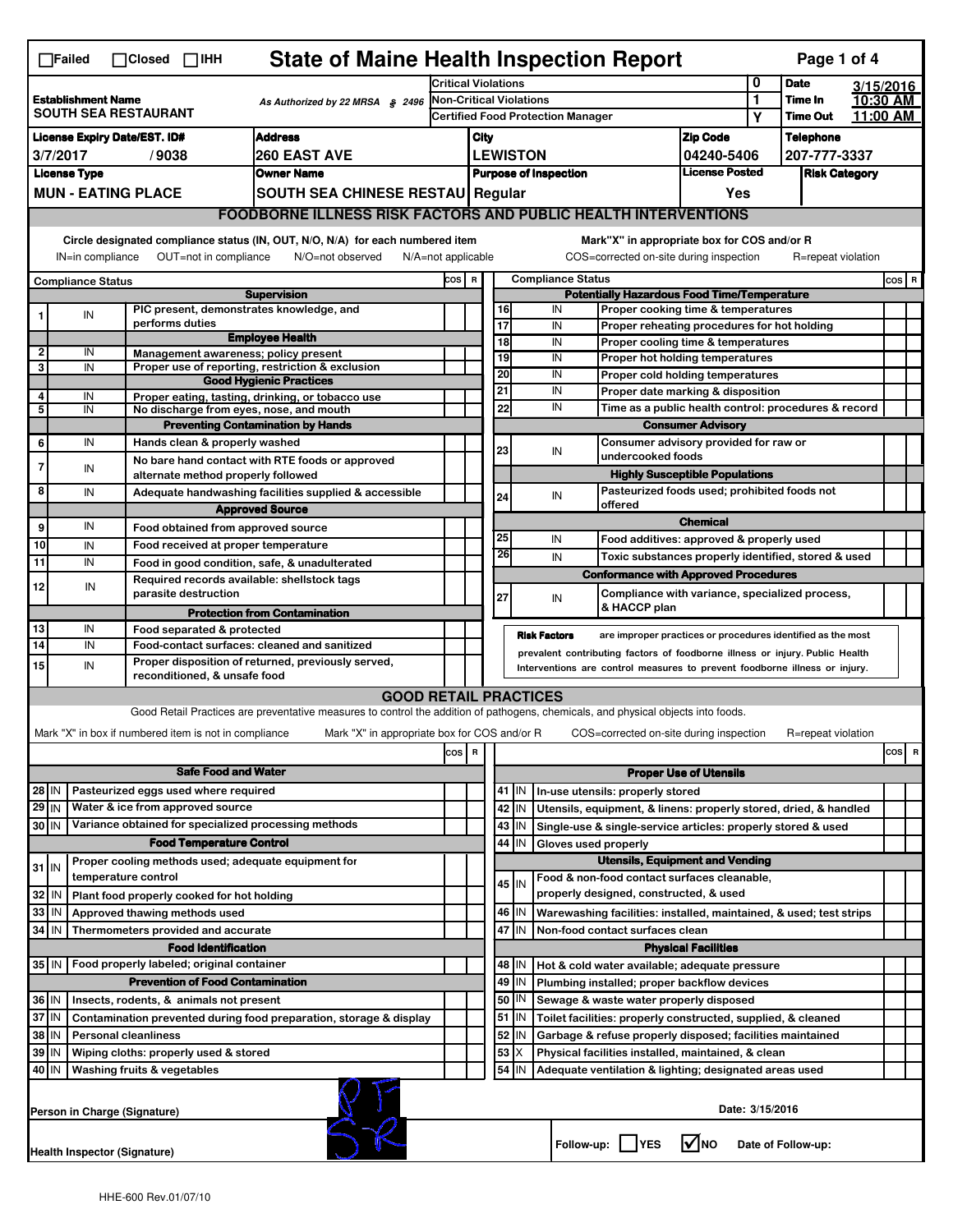| <b>State of Maine Health Inspection Report</b><br>Page 1 of 4<br>$\Box$ Failed<br>$\Box$ Closed $\Box$ IHH                                                                                                               |                                                                       |                                                       |                                                                                                                                   |                                                       |                                                                                         |                                                                                                            |                                                                    |                                                                  |                                                                                                        |                                   |              |                      |  |          |  |
|--------------------------------------------------------------------------------------------------------------------------------------------------------------------------------------------------------------------------|-----------------------------------------------------------------------|-------------------------------------------------------|-----------------------------------------------------------------------------------------------------------------------------------|-------------------------------------------------------|-----------------------------------------------------------------------------------------|------------------------------------------------------------------------------------------------------------|--------------------------------------------------------------------|------------------------------------------------------------------|--------------------------------------------------------------------------------------------------------|-----------------------------------|--------------|----------------------|--|----------|--|
|                                                                                                                                                                                                                          |                                                                       |                                                       |                                                                                                                                   | <b>Critical Violations</b>                            |                                                                                         |                                                                                                            |                                                                    |                                                                  | 0                                                                                                      | <b>Date</b>                       |              | 3/15/2016            |  |          |  |
| <b>Establishment Name</b><br>As Authorized by 22 MRSA § 2496<br><b>SOUTH SEA RESTAURANT</b>                                                                                                                              |                                                                       |                                                       | <b>Non-Critical Violations</b><br><b>Certified Food Protection Manager</b>                                                        |                                                       |                                                                                         |                                                                                                            |                                                                    |                                                                  | 1<br>Υ                                                                                                 | <b>Time In</b><br><b>Time Out</b> |              | 10:30 AM<br>11:00 AM |  |          |  |
| <b>Address</b><br>License Expiry Date/EST. ID#                                                                                                                                                                           |                                                                       |                                                       |                                                                                                                                   |                                                       | City                                                                                    |                                                                                                            |                                                                    |                                                                  |                                                                                                        | <b>Zip Code</b>                   |              | <b>Telephone</b>     |  |          |  |
| 3/7/2017<br><b>260 EAST AVE</b><br>/9038                                                                                                                                                                                 |                                                                       |                                                       | <b>LEWISTON</b>                                                                                                                   |                                                       |                                                                                         |                                                                                                            |                                                                    | 04240-5406                                                       |                                                                                                        |                                   | 207-777-3337 |                      |  |          |  |
| <b>License Type</b><br><b>Owner Name</b>                                                                                                                                                                                 |                                                                       |                                                       |                                                                                                                                   | <b>License Posted</b><br><b>Purpose of Inspection</b> |                                                                                         |                                                                                                            |                                                                    |                                                                  | <b>Risk Category</b>                                                                                   |                                   |              |                      |  |          |  |
| <b>MUN - EATING PLACE</b><br>SOUTH SEA CHINESE RESTAU Regular                                                                                                                                                            |                                                                       |                                                       |                                                                                                                                   | Yes                                                   |                                                                                         |                                                                                                            |                                                                    |                                                                  |                                                                                                        |                                   |              |                      |  |          |  |
|                                                                                                                                                                                                                          | <b>FOODBORNE ILLNESS RISK FACTORS AND PUBLIC HEALTH INTERVENTIONS</b> |                                                       |                                                                                                                                   |                                                       |                                                                                         |                                                                                                            |                                                                    |                                                                  |                                                                                                        |                                   |              |                      |  |          |  |
| Circle designated compliance status (IN, OUT, N/O, N/A) for each numbered item<br>Mark"X" in appropriate box for COS and/or R<br>COS=corrected on-site during inspection<br>$N/A = not$ applicable<br>R=repeat violation |                                                                       |                                                       |                                                                                                                                   |                                                       |                                                                                         |                                                                                                            |                                                                    |                                                                  |                                                                                                        |                                   |              |                      |  |          |  |
|                                                                                                                                                                                                                          | OUT=not in compliance<br>IN=in compliance<br>N/O=not observed         |                                                       |                                                                                                                                   |                                                       |                                                                                         |                                                                                                            |                                                                    |                                                                  |                                                                                                        |                                   |              |                      |  |          |  |
|                                                                                                                                                                                                                          | <b>Compliance Status</b>                                              |                                                       | <b>Supervision</b>                                                                                                                |                                                       | <b>Compliance Status</b><br>COS R<br><b>Potentially Hazardous Food Time/Temperature</b> |                                                                                                            |                                                                    |                                                                  |                                                                                                        |                                   |              |                      |  | $cos$ R  |  |
|                                                                                                                                                                                                                          | IN                                                                    | PIC present, demonstrates knowledge, and              |                                                                                                                                   |                                                       |                                                                                         | 16                                                                                                         |                                                                    | IN                                                               | Proper cooking time & temperatures                                                                     |                                   |              |                      |  |          |  |
|                                                                                                                                                                                                                          |                                                                       | performs duties                                       | <b>Employee Health</b>                                                                                                            |                                                       |                                                                                         | 17                                                                                                         |                                                                    | IN                                                               | Proper reheating procedures for hot holding                                                            |                                   |              |                      |  |          |  |
| $\overline{\mathbf{2}}$                                                                                                                                                                                                  | IN                                                                    | Management awareness; policy present                  |                                                                                                                                   |                                                       |                                                                                         | $\overline{18}$<br>IN<br>Proper cooling time & temperatures<br>19<br>IN<br>Proper hot holding temperatures |                                                                    |                                                                  |                                                                                                        |                                   |              |                      |  |          |  |
| 3                                                                                                                                                                                                                        | IN                                                                    |                                                       | Proper use of reporting, restriction & exclusion                                                                                  |                                                       |                                                                                         | 20                                                                                                         |                                                                    | IN                                                               | Proper cold holding temperatures                                                                       |                                   |              |                      |  |          |  |
| 4                                                                                                                                                                                                                        |                                                                       |                                                       | <b>Good Hygienic Practices</b>                                                                                                    |                                                       |                                                                                         | 21                                                                                                         |                                                                    | IN                                                               | Proper date marking & disposition                                                                      |                                   |              |                      |  |          |  |
| $\overline{\mathbf{5}}$                                                                                                                                                                                                  | IN<br>IN                                                              | No discharge from eyes, nose, and mouth               | Proper eating, tasting, drinking, or tobacco use                                                                                  |                                                       |                                                                                         | 22                                                                                                         |                                                                    | IN                                                               | Time as a public health control: procedures & record                                                   |                                   |              |                      |  |          |  |
|                                                                                                                                                                                                                          |                                                                       |                                                       | <b>Preventing Contamination by Hands</b>                                                                                          |                                                       |                                                                                         |                                                                                                            |                                                                    |                                                                  | <b>Consumer Advisory</b>                                                                               |                                   |              |                      |  |          |  |
| 6                                                                                                                                                                                                                        | IN                                                                    | Hands clean & properly washed                         |                                                                                                                                   |                                                       |                                                                                         | 23                                                                                                         |                                                                    | IN                                                               | Consumer advisory provided for raw or                                                                  |                                   |              |                      |  |          |  |
| 7                                                                                                                                                                                                                        | IN                                                                    |                                                       | No bare hand contact with RTE foods or approved                                                                                   |                                                       |                                                                                         |                                                                                                            |                                                                    |                                                                  | undercooked foods                                                                                      |                                   |              |                      |  |          |  |
|                                                                                                                                                                                                                          |                                                                       | alternate method properly followed                    |                                                                                                                                   |                                                       |                                                                                         |                                                                                                            |                                                                    |                                                                  | <b>Highly Susceptible Populations</b>                                                                  |                                   |              |                      |  |          |  |
| 8                                                                                                                                                                                                                        | IN                                                                    |                                                       | Adequate handwashing facilities supplied & accessible                                                                             |                                                       |                                                                                         | 24                                                                                                         |                                                                    | IN                                                               | Pasteurized foods used; prohibited foods not<br>offered                                                |                                   |              |                      |  |          |  |
|                                                                                                                                                                                                                          | IN                                                                    |                                                       | <b>Approved Source</b>                                                                                                            |                                                       |                                                                                         |                                                                                                            |                                                                    |                                                                  |                                                                                                        | <b>Chemical</b>                   |              |                      |  |          |  |
| 9<br>10                                                                                                                                                                                                                  |                                                                       | Food obtained from approved source                    |                                                                                                                                   |                                                       |                                                                                         | 25                                                                                                         |                                                                    | IN                                                               | Food additives: approved & properly used                                                               |                                   |              |                      |  |          |  |
| 11                                                                                                                                                                                                                       | IN<br>IN                                                              | Food received at proper temperature                   |                                                                                                                                   |                                                       |                                                                                         | $\overline{26}$                                                                                            |                                                                    | IN                                                               | Toxic substances properly identified, stored & used                                                    |                                   |              |                      |  |          |  |
|                                                                                                                                                                                                                          |                                                                       | Required records available: shellstock tags           | Food in good condition, safe, & unadulterated                                                                                     |                                                       |                                                                                         |                                                                                                            |                                                                    |                                                                  | <b>Conformance with Approved Procedures</b>                                                            |                                   |              |                      |  |          |  |
| 12                                                                                                                                                                                                                       | IN                                                                    | parasite destruction                                  |                                                                                                                                   |                                                       |                                                                                         | 27                                                                                                         |                                                                    | IN                                                               | Compliance with variance, specialized process,                                                         |                                   |              |                      |  |          |  |
|                                                                                                                                                                                                                          |                                                                       |                                                       | <b>Protection from Contamination</b>                                                                                              |                                                       |                                                                                         |                                                                                                            |                                                                    |                                                                  | & HACCP plan                                                                                           |                                   |              |                      |  |          |  |
| 13                                                                                                                                                                                                                       | IN                                                                    | Food separated & protected                            |                                                                                                                                   |                                                       |                                                                                         |                                                                                                            |                                                                    | <b>Risk Factors</b>                                              | are improper practices or procedures identified as the most                                            |                                   |              |                      |  |          |  |
| 14                                                                                                                                                                                                                       | IN                                                                    |                                                       | Food-contact surfaces: cleaned and sanitized<br>prevalent contributing factors of foodborne illness or injury. Public Health      |                                                       |                                                                                         |                                                                                                            |                                                                    |                                                                  |                                                                                                        |                                   |              |                      |  |          |  |
| 15                                                                                                                                                                                                                       | IN                                                                    | reconditioned, & unsafe food                          | Proper disposition of returned, previously served,                                                                                |                                                       |                                                                                         |                                                                                                            |                                                                    |                                                                  | Interventions are control measures to prevent foodborne illness or injury.                             |                                   |              |                      |  |          |  |
|                                                                                                                                                                                                                          |                                                                       |                                                       | <b>GOOD RETAIL PRACTICES</b>                                                                                                      |                                                       |                                                                                         |                                                                                                            |                                                                    |                                                                  |                                                                                                        |                                   |              |                      |  |          |  |
|                                                                                                                                                                                                                          |                                                                       |                                                       | Good Retail Practices are preventative measures to control the addition of pathogens, chemicals, and physical objects into foods. |                                                       |                                                                                         |                                                                                                            |                                                                    |                                                                  |                                                                                                        |                                   |              |                      |  |          |  |
|                                                                                                                                                                                                                          |                                                                       | Mark "X" in box if numbered item is not in compliance | Mark "X" in appropriate box for COS and/or R                                                                                      |                                                       |                                                                                         |                                                                                                            |                                                                    |                                                                  | COS=corrected on-site during inspection                                                                |                                   |              | R=repeat violation   |  |          |  |
|                                                                                                                                                                                                                          |                                                                       |                                                       |                                                                                                                                   | cos R                                                 |                                                                                         |                                                                                                            |                                                                    |                                                                  |                                                                                                        |                                   |              |                      |  | cos<br>R |  |
| <b>Safe Food and Water</b>                                                                                                                                                                                               |                                                                       |                                                       |                                                                                                                                   |                                                       |                                                                                         |                                                                                                            |                                                                    |                                                                  |                                                                                                        | <b>Proper Use of Utensils</b>     |              |                      |  |          |  |
| 28 IN                                                                                                                                                                                                                    |                                                                       | Pasteurized eggs used where required                  |                                                                                                                                   |                                                       |                                                                                         |                                                                                                            | 41 J IN                                                            |                                                                  | In-use utensils: properly stored                                                                       |                                   |              |                      |  |          |  |
| $29$ IN<br>Water & ice from approved source                                                                                                                                                                              |                                                                       |                                                       |                                                                                                                                   |                                                       |                                                                                         | 42 IN                                                                                                      |                                                                    | Utensils, equipment, & linens: properly stored, dried, & handled |                                                                                                        |                                   |              |                      |  |          |  |
| Variance obtained for specialized processing methods<br>30 IN                                                                                                                                                            |                                                                       |                                                       |                                                                                                                                   |                                                       | 43 IN                                                                                   |                                                                                                            | Single-use & single-service articles: properly stored & used       |                                                                  |                                                                                                        |                                   |              |                      |  |          |  |
| <b>Food Temperature Control</b>                                                                                                                                                                                          |                                                                       |                                                       |                                                                                                                                   |                                                       | 44                                                                                      | IN                                                                                                         | Gloves used properly                                               |                                                                  |                                                                                                        |                                   |              |                      |  |          |  |
| Proper cooling methods used; adequate equipment for<br>$31$ IN                                                                                                                                                           |                                                                       |                                                       |                                                                                                                                   |                                                       |                                                                                         | <b>Utensils, Equipment and Vending</b>                                                                     |                                                                    |                                                                  |                                                                                                        |                                   |              |                      |  |          |  |
| temperature control                                                                                                                                                                                                      |                                                                       |                                                       |                                                                                                                                   |                                                       |                                                                                         |                                                                                                            | 45   IN                                                            |                                                                  | Food & non-food contact surfaces cleanable,                                                            |                                   |              |                      |  |          |  |
| 32<br>Plant food properly cooked for hot holding<br>۱N                                                                                                                                                                   |                                                                       |                                                       |                                                                                                                                   |                                                       | properly designed, constructed, & used                                                  |                                                                                                            |                                                                    |                                                                  |                                                                                                        |                                   |              |                      |  |          |  |
| 33<br>IN<br>Approved thawing methods used                                                                                                                                                                                |                                                                       |                                                       |                                                                                                                                   |                                                       | 46 IN                                                                                   |                                                                                                            | Warewashing facilities: installed, maintained, & used; test strips |                                                                  |                                                                                                        |                                   |              |                      |  |          |  |
| 34 IN<br>Thermometers provided and accurate                                                                                                                                                                              |                                                                       |                                                       |                                                                                                                                   |                                                       |                                                                                         | 47 I IN                                                                                                    |                                                                    | Non-food contact surfaces clean                                  |                                                                                                        |                                   |              |                      |  |          |  |
|                                                                                                                                                                                                                          |                                                                       | <b>Food Identification</b>                            |                                                                                                                                   |                                                       |                                                                                         |                                                                                                            |                                                                    |                                                                  |                                                                                                        | <b>Physical Facilities</b>        |              |                      |  |          |  |
|                                                                                                                                                                                                                          | Food properly labeled; original container<br>35   IN                  |                                                       |                                                                                                                                   |                                                       |                                                                                         |                                                                                                            | 48   IN                                                            |                                                                  | Hot & cold water available; adequate pressure                                                          |                                   |              |                      |  |          |  |
| <b>Prevention of Food Contamination</b><br>36 IN                                                                                                                                                                         |                                                                       |                                                       |                                                                                                                                   |                                                       | 49<br>50                                                                                | IN<br>ΙN                                                                                                   |                                                                    | Plumbing installed; proper backflow devices                      |                                                                                                        |                                   |              |                      |  |          |  |
| Insects, rodents, & animals not present<br>37 IN<br>Contamination prevented during food preparation, storage & display                                                                                                   |                                                                       |                                                       |                                                                                                                                   |                                                       |                                                                                         |                                                                                                            | 51 J IN                                                            |                                                                  | Sewage & waste water properly disposed<br>Toilet facilities: properly constructed, supplied, & cleaned |                                   |              |                      |  |          |  |
| 38 IN<br><b>Personal cleanliness</b>                                                                                                                                                                                     |                                                                       |                                                       |                                                                                                                                   |                                                       |                                                                                         | 52 <br>IN                                                                                                  |                                                                    | Garbage & refuse properly disposed; facilities maintained        |                                                                                                        |                                   |              |                      |  |          |  |
| 39 IN<br>Wiping cloths: properly used & stored                                                                                                                                                                           |                                                                       |                                                       |                                                                                                                                   |                                                       | 53                                                                                      | ΙX                                                                                                         |                                                                    | Physical facilities installed, maintained, & clean               |                                                                                                        |                                   |              |                      |  |          |  |
| 40 IN<br>Washing fruits & vegetables                                                                                                                                                                                     |                                                                       |                                                       |                                                                                                                                   |                                                       |                                                                                         | 54                                                                                                         | IN                                                                 |                                                                  | Adequate ventilation & lighting; designated areas used                                                 |                                   |              |                      |  |          |  |
| Date: 3/15/2016<br>Person in Charge (Signature)                                                                                                                                                                          |                                                                       |                                                       |                                                                                                                                   |                                                       |                                                                                         |                                                                                                            |                                                                    |                                                                  |                                                                                                        |                                   |              |                      |  |          |  |
| l√lno<br>Follow-up:     YES<br>Date of Follow-up:<br><b>Health Inspector (Signature)</b>                                                                                                                                 |                                                                       |                                                       |                                                                                                                                   |                                                       |                                                                                         |                                                                                                            |                                                                    |                                                                  |                                                                                                        |                                   |              |                      |  |          |  |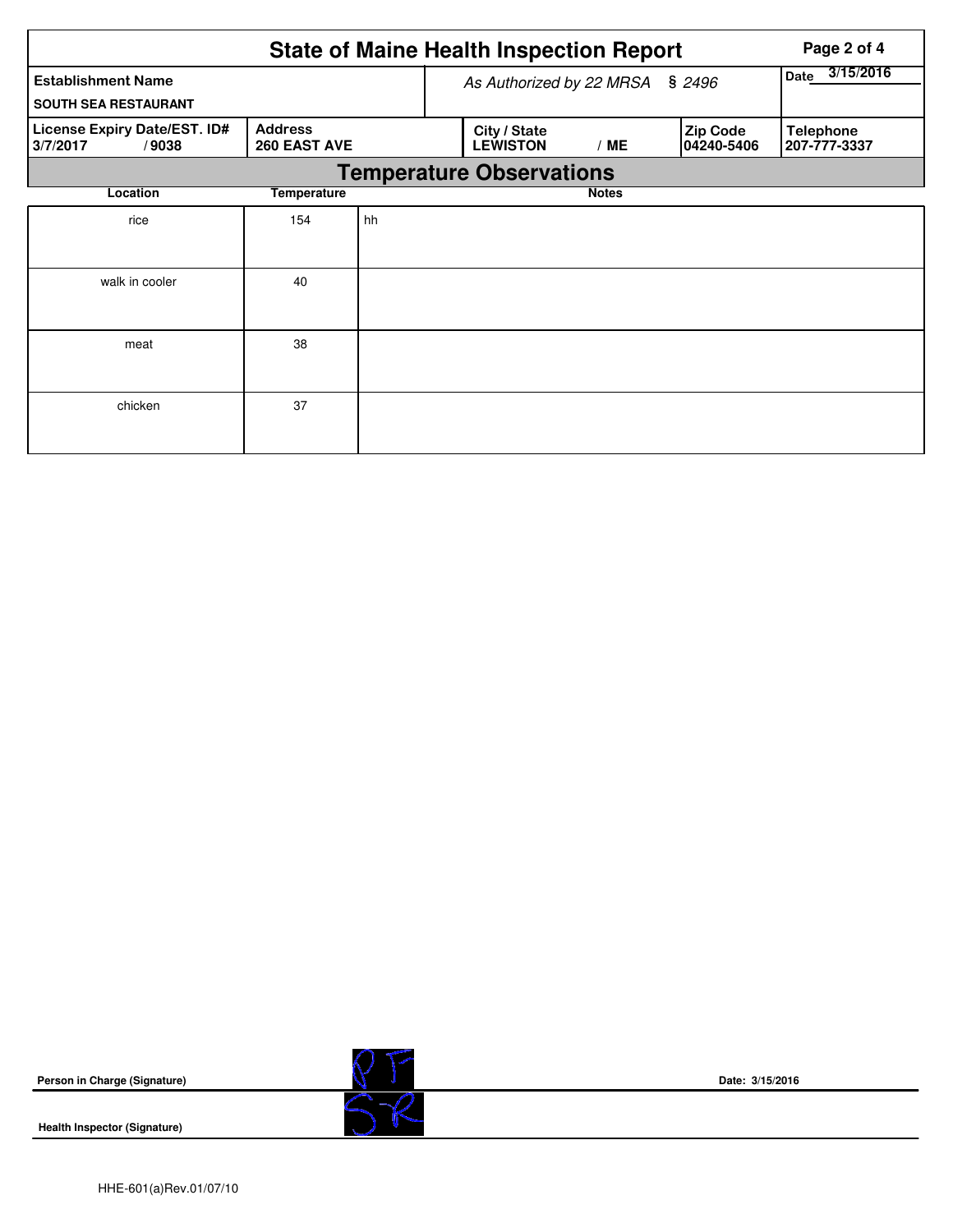|                                       |    |                                 |     | Page 2 of 4<br>3/15/2016 |                                                 |                                                              |  |  |  |
|---------------------------------------|----|---------------------------------|-----|--------------------------|-------------------------------------------------|--------------------------------------------------------------|--|--|--|
| <b>Establishment Name</b>             |    |                                 |     |                          | As Authorized by 22 MRSA<br>\$2496              |                                                              |  |  |  |
|                                       |    |                                 |     |                          |                                                 |                                                              |  |  |  |
| <b>Address</b><br><b>260 EAST AVE</b> |    | City / State<br><b>LEWISTON</b> | /ME | <b>Zip Code</b>          | <b>Telephone</b><br>207-777-3337                |                                                              |  |  |  |
|                                       |    |                                 |     |                          |                                                 |                                                              |  |  |  |
| <b>Temperature</b>                    |    |                                 |     |                          |                                                 |                                                              |  |  |  |
| 154                                   | hh |                                 |     |                          |                                                 |                                                              |  |  |  |
|                                       |    |                                 |     |                          |                                                 |                                                              |  |  |  |
| 40                                    |    |                                 |     |                          |                                                 |                                                              |  |  |  |
|                                       |    |                                 |     |                          |                                                 |                                                              |  |  |  |
| 38                                    |    |                                 |     |                          |                                                 |                                                              |  |  |  |
|                                       |    |                                 |     |                          |                                                 |                                                              |  |  |  |
| 37                                    |    |                                 |     |                          |                                                 |                                                              |  |  |  |
|                                       |    |                                 |     |                          |                                                 |                                                              |  |  |  |
|                                       |    |                                 |     |                          | <b>Temperature Observations</b><br><b>Notes</b> | <b>State of Maine Health Inspection Report</b><br>04240-5406 |  |  |  |

**Person in Charge (Signature)**

**Health Inspector (Signature)** 



**Date: 3/15/2016**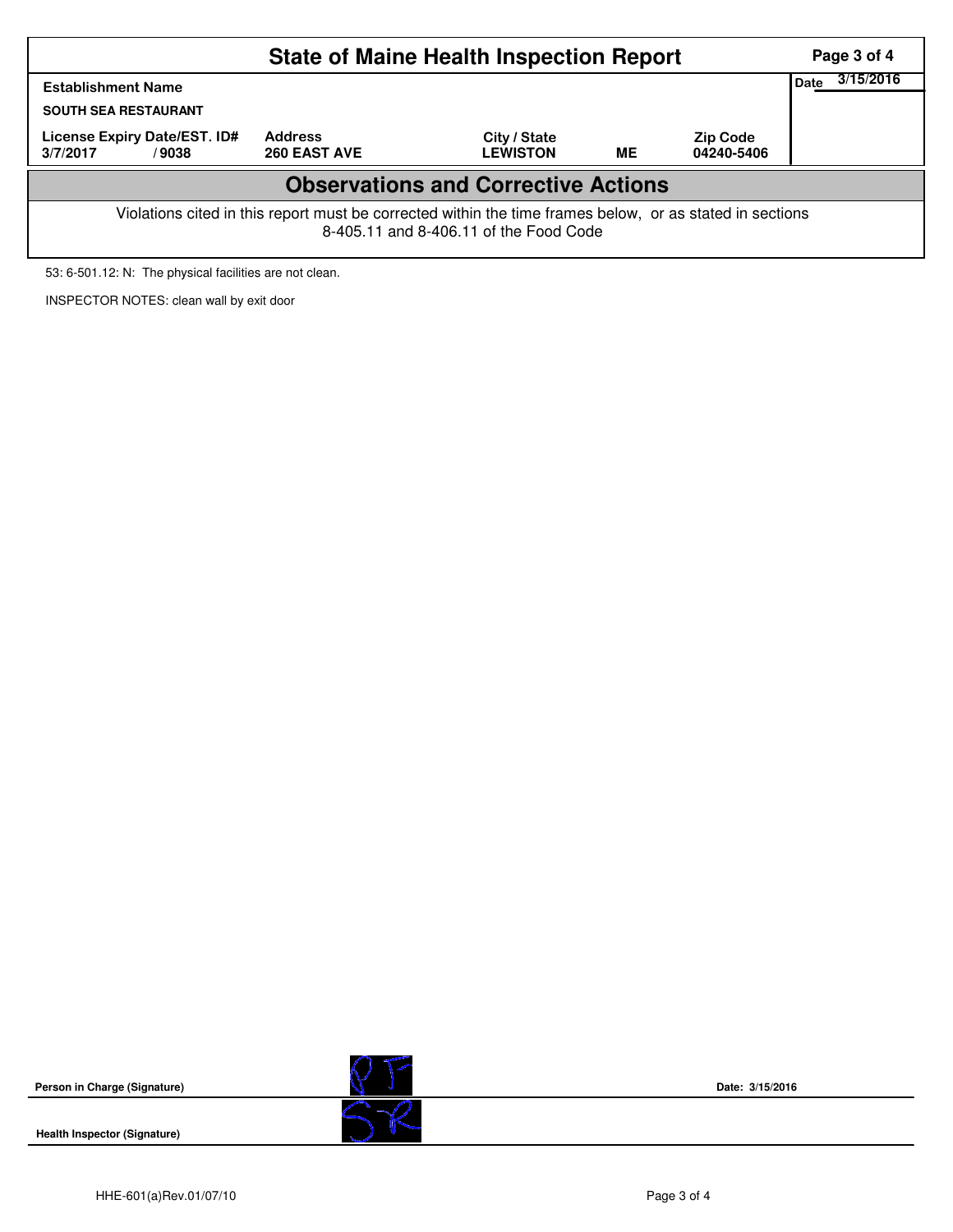|                                                                                                                                                    | Page 3 of 4                           |                                 |           |                               |  |  |  |  |  |  |
|----------------------------------------------------------------------------------------------------------------------------------------------------|---------------------------------------|---------------------------------|-----------|-------------------------------|--|--|--|--|--|--|
| <b>Establishment Name</b>                                                                                                                          | 3/15/2016<br>Date                     |                                 |           |                               |  |  |  |  |  |  |
| <b>SOUTH SEA RESTAURANT</b>                                                                                                                        |                                       |                                 |           |                               |  |  |  |  |  |  |
| License Expiry Date/EST. ID#<br>3/7/2017<br>/9038                                                                                                  | <b>Address</b><br><b>260 EAST AVE</b> | City / State<br><b>LEWISTON</b> | <b>ME</b> | <b>Zip Code</b><br>04240-5406 |  |  |  |  |  |  |
| <b>Observations and Corrective Actions</b>                                                                                                         |                                       |                                 |           |                               |  |  |  |  |  |  |
| Violations cited in this report must be corrected within the time frames below, or as stated in sections<br>8-405.11 and 8-406.11 of the Food Code |                                       |                                 |           |                               |  |  |  |  |  |  |

53: 6-501.12: N: The physical facilities are not clean.

INSPECTOR NOTES: clean wall by exit door

**Person in Charge (Signature)**





**Date: 3/15/2016**